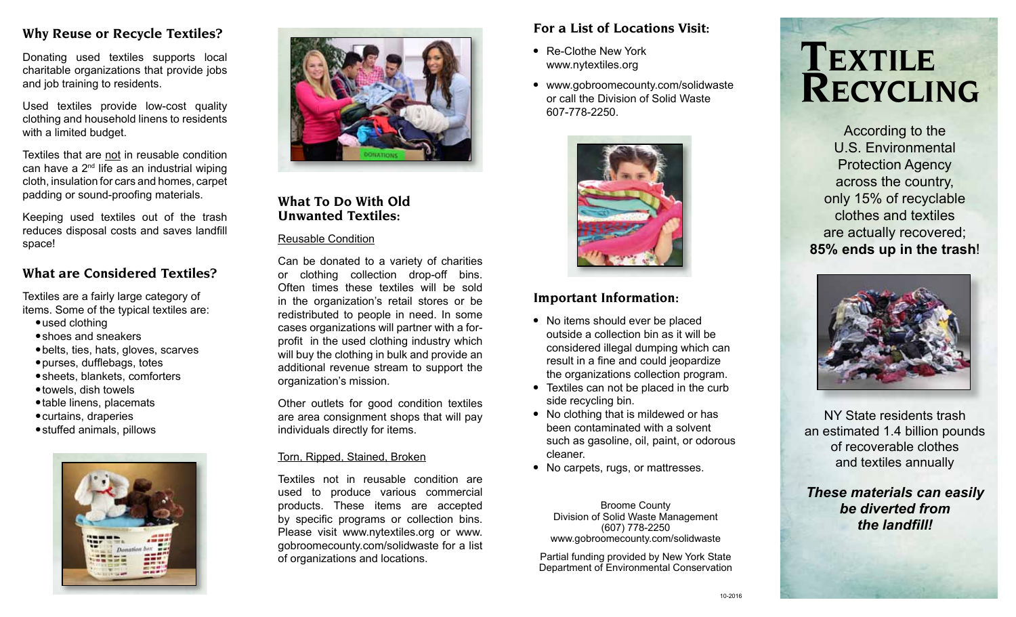### **Why Reuse or Recycle Textiles?**

Donating used textiles supports local charitable organizations that provide jobs and job training to residents.

Used textiles provide low-cost quality clothing and household linens to residents with a limited budget.

Textiles that are not in reusable condition can have a  $2<sup>nd</sup>$  life as an industrial wiping cloth, insulation for cars and homes, carpet padding or sound-proofing materials.

Keeping used textiles out of the trash reduces disposal costs and saves landfill space!

## **What are Considered Textiles?**

Textiles are a fairly large category of items. Some of the typical textiles are:

- $\bullet$  used clothing
- shoes and sneakers
- $\bullet$  belts, ties, hats, gloves, scarves
- purses, dufflebags, totes
- $\bullet$  sheets, blankets, comforters
- $\bullet$  towels, dish towels
- table linens, placemats
- $\bullet$  curtains, draperies
- stuffed animals, pillows





### **What To Do With Old Unwanted Textiles:**

#### Reusable Condition

Can be donated to a variety of charities or clothing collection drop-off bins. Often times these textiles will be sold in the organization's retail stores or be redistributed to people in need. In some cases organizations will partner with a forprofit in the used clothing industry which will buy the clothing in bulk and provide an additional revenue stream to support the organization's mission.

Other outlets for good condition textiles are area consignment shops that will pay individuals directly for items.

### Torn, Ripped, Stained, Broken

Textiles not in reusable condition are used to produce various commercial products. These items are accepted by specific programs or collection bins. Please visit www.nytextiles.org or www. gobroomecounty.com/solidwaste for a list of organizations and locations.

# **For a List of Locations Visit:**

- Re-Clothe New York www.nytextiles.org
- www.gobroomecounty.com/solidwaste or call the Division of Solid Waste 607-778-2250.



# **Important Information:**

- No items should ever be placed outside a collection bin as it will be considered illegal dumping which can result in a fine and could jeopardize the organizations collection program.
- Textiles can not be placed in the curb side recycling bin.
- No clothing that is mildewed or has been contaminated with a solvent such as gasoline, oil, paint, or odorous cleaner.
- No carpets, rugs, or mattresses.

Broome County Division of Solid Waste Management (607) 778-2250 www.gobroomecounty.com/solidwaste

Partial funding provided by New York State Department of Environmental Conservation



According to the U.S. Environmental Protection Agency across the country, only 15% of recyclable clothes and textiles are actually recovered; **85% ends up in the trash**!



NY State residents trash an estimated 1.4 billion pounds of recoverable clothes and textiles annually

*These materials can easily be diverted from the landfill!*